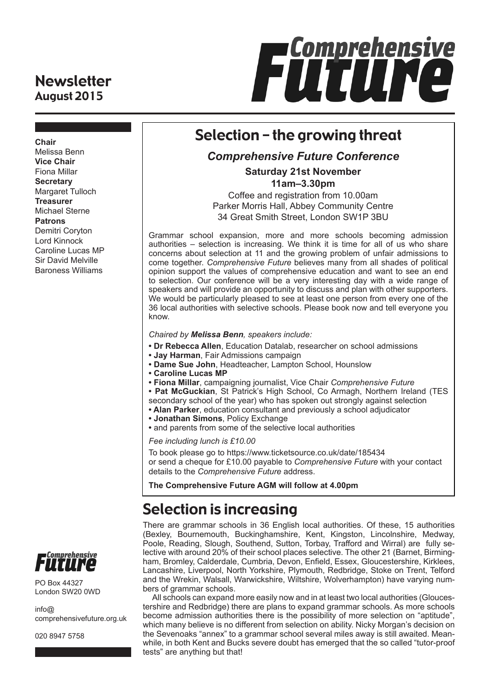### **Newsletter** August 2015



## Selection – the growing threat

### *Comprehensive Future Conference*

**Saturday 21st November 11am–3.30pm** 

Coffee and registration from 10.00am Parker Morris Hall, Abbey Community Centre 34 Great Smith Street, London SW1P 3BU

Grammar school expansion, more and more schools becoming admission authorities – selection is increasing. We think it is time for all of us who share concerns about selection at 11 and the growing problem of unfair admissions to come together. *Comprehensive Future* believes many from all shades of political opinion support the values of comprehensive education and want to see an end to selection. Our conference will be a very interesting day with a wide range of speakers and will provide an opportunity to discuss and plan with other supporters. We would be particularly pleased to see at least one person from every one of the 36 local authorities with selective schools. Please book now and tell everyone you know.

#### *Chaired by Melissa Benn, speakers include:*

- **Dr Rebecca Allen**, Education Datalab, researcher on school admissions
- **Jay Harman**, Fair Admissions campaign
- **Dame Sue John**, Headteacher, Lampton School, Hounslow
- **Caroline Lucas MP**
- **Fiona Millar**, campaigning journalist, Vice Chair *Comprehensive Future*
- **Pat McGuckian**, St Patrick's High School, Co Armagh, Northern Ireland (TES
- secondary school of the year) who has spoken out strongly against selection
- **Alan Parker**, education consultant and previously a school adjudicator
- **Jonathan Simons**, Policy Exchange
- **•** and parents from some of the selective local authorities

*Fee including lunch is £10.00*

To book please go to https://www.ticketsource.co.uk/date/185434 or send a cheque for £10.00 payable to *Comprehensive Future* with your contact details to the *Comprehensive Future* address.

**The Comprehensive Future AGM will follow at 4.00pm**

# Selection is increasing

There are grammar schools in 36 English local authorities. Of these, 15 authorities (Bexley, Bournemouth, Buckinghamshire, Kent, Kingston, Lincolnshire, Medway, Poole, Reading, Slough, Southend, Sutton, Torbay, Trafford and Wirral) are fully selective with around 20% of their school places selective. The other 21 (Barnet, Birmingham, Bromley, Calderdale, Cumbria, Devon, Enfield, Essex, Gloucestershire, Kirklees, Lancashire, Liverpool, North Yorkshire, Plymouth, Redbridge, Stoke on Trent, Telford and the Wrekin, Walsall, Warwickshire, Wiltshire, Wolverhampton) have varying numbers of grammar schools.

All schools can expand more easily now and in at least two local authorities (Gloucestershire and Redbridge) there are plans to expand grammar schools. As more schools become admission authorities there is the possibility of more selection on "aptitude", which many believe is no different from selection on ability. Nicky Morgan's decision on the Sevenoaks "annex" to a grammar school several miles away is still awaited. Meanwhile, in both Kent and Bucks severe doubt has emerged that the so called "tutor-proof tests" are anything but that!

**Chair** Melissa Benn **Vice Chair** Fiona Millar **Secretary** Margaret Tulloch **Treasurer** Michael Sterne **Patrons** Demitri Coryton Lord Kinnock Caroline Lucas MP Sir David Melville Baroness Williams



PO Box 44327 London SW20 0WD

info@ comprehensivefuture.org.uk

020 8947 5758